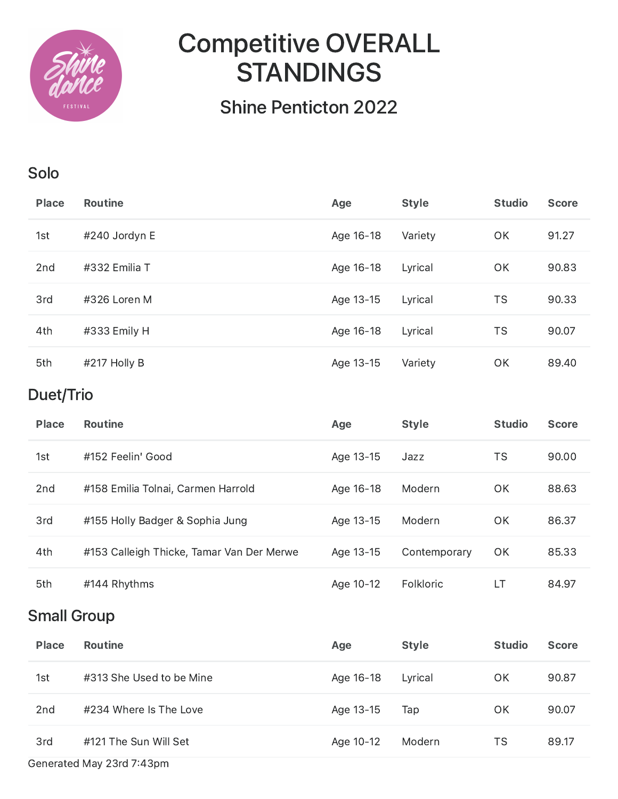

# Competitive OVERALL **STANDINGS**

## Shine Penticton 2022

#### Solo

| <b>Place</b>    | <b>Routine</b> | Age       | <b>Style</b> | <b>Studio</b> | <b>Score</b> |
|-----------------|----------------|-----------|--------------|---------------|--------------|
| 1st             | #240 Jordyn E  | Age 16-18 | Variety      | OK            | 91.27        |
| 2 <sub>nd</sub> | #332 Emilia T  | Age 16-18 | Lyrical      | OK            | 90.83        |
| 3rd             | #326 Loren M   | Age 13-15 | Lyrical      | <b>TS</b>     | 90.33        |
| 4th             | #333 Emily H   | Age 16-18 | Lyrical      | <b>TS</b>     | 90.07        |
| 5th             | #217 Holly B   | Age 13-15 | Variety      | <b>OK</b>     | 89.40        |

## Duet/Trio

| <b>Place</b>    | <b>Routine</b>                            | Age       | <b>Style</b> | <b>Studio</b> | <b>Score</b> |
|-----------------|-------------------------------------------|-----------|--------------|---------------|--------------|
| 1st             | #152 Feelin' Good                         | Age 13-15 | Jazz         | TS            | 90.00        |
| 2 <sub>nd</sub> | #158 Emilia Tolnai, Carmen Harrold        | Age 16-18 | Modern       | OK            | 88.63        |
| 3rd             | #155 Holly Badger & Sophia Jung           | Age 13-15 | Modern       | OK            | 86.37        |
| 4th             | #153 Calleigh Thicke, Tamar Van Der Merwe | Age 13-15 | Contemporary | OK            | 85.33        |
| 5th             | #144 Rhythms                              | Age 10-12 | Folkloric    | LТ            | 84.97        |

#### Small Group

| <b>Place</b>              | <b>Routine</b>           | Age       | <b>Style</b> | <b>Studio</b> | <b>Score</b> |  |
|---------------------------|--------------------------|-----------|--------------|---------------|--------------|--|
| 1st                       | #313 She Used to be Mine | Age 16-18 | Lyrical      | ΟK            | 90.87        |  |
| 2 <sub>nd</sub>           | #234 Where Is The Love   | Age 13-15 | Tap          | OK            | 90.07        |  |
| 3rd                       | #121 The Sun Will Set    | Age 10-12 | Modern       | TS            | 89.17        |  |
| Generated May 23rd 7:43pm |                          |           |              |               |              |  |